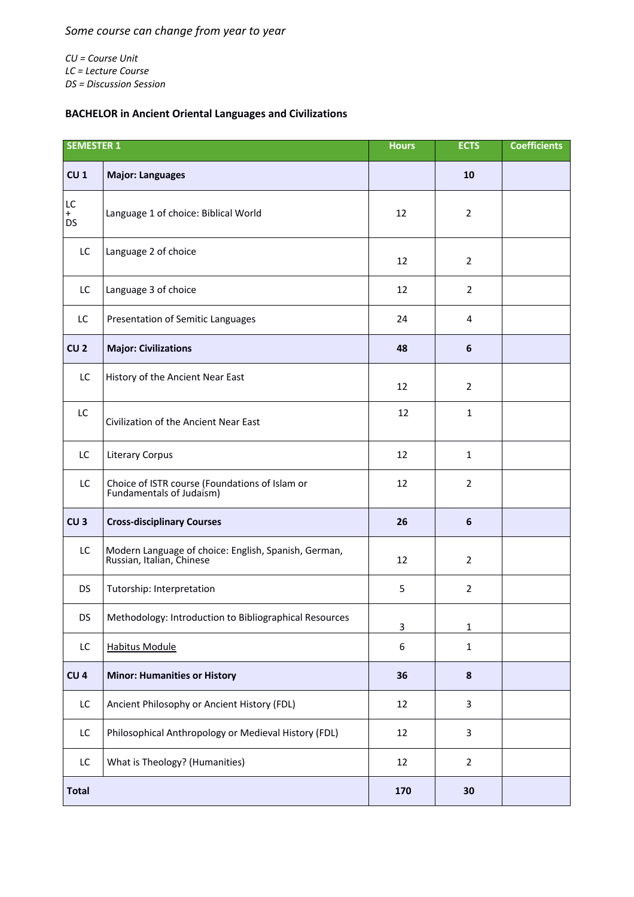*CU = Course Unit LC = Lecture Course DS = Discussion Session*

## **BACHELOR in Ancient Oriental Languages and Civilizations**

| <b>SEMESTER 1</b>      |                                                                                   | <b>Hours</b> | <b>ECTS</b>    | <b>Coefficients</b> |
|------------------------|-----------------------------------------------------------------------------------|--------------|----------------|---------------------|
| CU <sub>1</sub>        | <b>Major: Languages</b>                                                           |              | 10             |                     |
| LC<br>$+$<br><b>DS</b> | Language 1 of choice: Biblical World                                              | 12           | $\overline{2}$ |                     |
| LC                     | Language 2 of choice                                                              | 12           | $\overline{2}$ |                     |
| LC                     | Language 3 of choice                                                              | 12           | $\overline{2}$ |                     |
| LC                     | Presentation of Semitic Languages                                                 | 24           | 4              |                     |
| CU <sub>2</sub>        | <b>Major: Civilizations</b>                                                       | 48           | 6              |                     |
| LC                     | History of the Ancient Near East                                                  | 12           | $\overline{2}$ |                     |
| LC                     | Civilization of the Ancient Near East                                             | 12           | $\mathbf{1}$   |                     |
| LC                     | <b>Literary Corpus</b>                                                            | 12           | $\mathbf{1}$   |                     |
| LC                     | Choice of ISTR course (Foundations of Islam or<br>Fundamentals of Judaism)        | 12           | $\overline{2}$ |                     |
| CU <sub>3</sub>        | <b>Cross-disciplinary Courses</b>                                                 | 26           | 6              |                     |
| LC                     | Modern Language of choice: English, Spanish, German,<br>Russian, Italian, Chinese | 12           | $\overline{2}$ |                     |
| <b>DS</b>              | Tutorship: Interpretation                                                         | 5            | $\overline{2}$ |                     |
| DS                     | Methodology: Introduction to Bibliographical Resources                            | 3            | $\mathbf{1}$   |                     |
| LC                     | <b>Habitus Module</b>                                                             | 6            | $\mathbf{1}$   |                     |
| CU <sub>4</sub>        | <b>Minor: Humanities or History</b>                                               | 36           | 8              |                     |
| LC                     | Ancient Philosophy or Ancient History (FDL)                                       | 12           | 3              |                     |
| LC                     | Philosophical Anthropology or Medieval History (FDL)                              | 12           | $\overline{3}$ |                     |
| LC                     | What is Theology? (Humanities)                                                    | 12           | $\overline{2}$ |                     |
| <b>Total</b>           |                                                                                   | 170          | 30             |                     |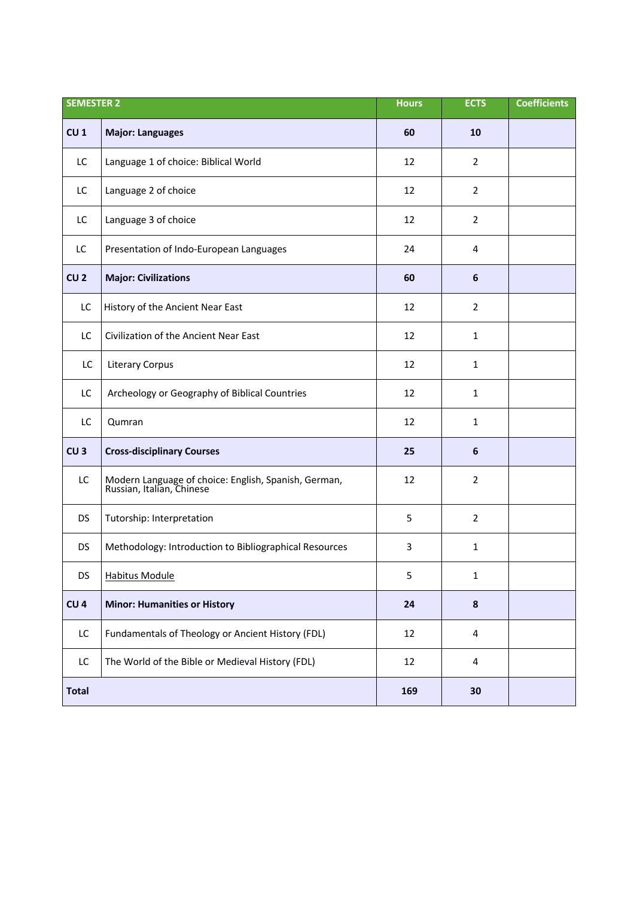| <b>SEMESTER 2</b> |                                                                                   | <b>Hours</b> | <b>ECTS</b>             | <b>Coefficients</b> |
|-------------------|-----------------------------------------------------------------------------------|--------------|-------------------------|---------------------|
| CU <sub>1</sub>   | <b>Major: Languages</b>                                                           | 60           | 10                      |                     |
| LC                | Language 1 of choice: Biblical World                                              | 12           | $\overline{2}$          |                     |
| LC                | Language 2 of choice                                                              | 12           | $\overline{2}$          |                     |
| LC                | Language 3 of choice                                                              | 12           | $\overline{2}$          |                     |
| LC                | Presentation of Indo-European Languages                                           | 24           | 4                       |                     |
| CU <sub>2</sub>   | <b>Major: Civilizations</b>                                                       | 60           | 6                       |                     |
| LC                | History of the Ancient Near East                                                  | 12           | $\overline{2}$          |                     |
| LC                | Civilization of the Ancient Near East                                             | 12           | $\mathbf{1}$            |                     |
| LC                | <b>Literary Corpus</b>                                                            | 12           | $\mathbf{1}$            |                     |
| LC                | Archeology or Geography of Biblical Countries                                     | 12           | $\mathbf{1}$            |                     |
| LC                | Qumran                                                                            | 12           | $\mathbf{1}$            |                     |
| CU <sub>3</sub>   | <b>Cross-disciplinary Courses</b>                                                 | 25           | 6                       |                     |
| LC                | Modern Language of choice: English, Spanish, German,<br>Russian, Italian, Chinese | 12           | $\overline{2}$          |                     |
| <b>DS</b>         | Tutorship: Interpretation                                                         | 5            | $\overline{2}$          |                     |
| <b>DS</b>         | Methodology: Introduction to Bibliographical Resources                            | 3            | $\mathbf{1}$            |                     |
| DS                | <b>Habitus Module</b>                                                             | 5            | 1                       |                     |
| CU <sub>4</sub>   | <b>Minor: Humanities or History</b>                                               | 24           | $\pmb{8}$               |                     |
| LC                | Fundamentals of Theology or Ancient History (FDL)                                 | 12           | 4                       |                     |
| LC                | The World of the Bible or Medieval History (FDL)                                  | 12           | $\overline{\mathbf{4}}$ |                     |
| <b>Total</b>      |                                                                                   | 169          | 30                      |                     |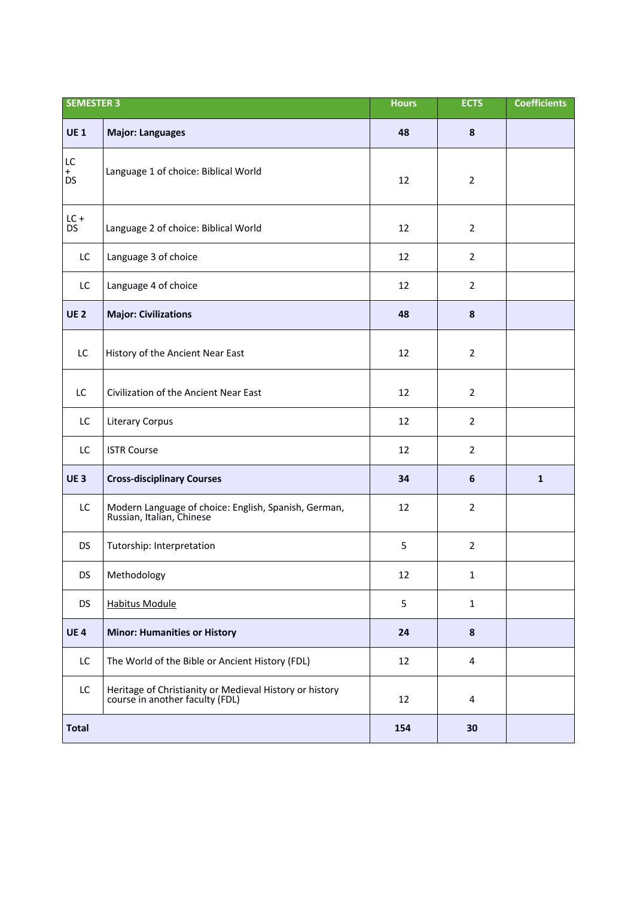| <b>SEMESTER 3</b> |                                                                                            | <b>Hours</b> | <b>ECTS</b>    | <b>Coefficients</b> |
|-------------------|--------------------------------------------------------------------------------------------|--------------|----------------|---------------------|
| <b>UE1</b>        | <b>Major: Languages</b>                                                                    | 48           | 8              |                     |
| LC<br>$+$<br>DS   | Language 1 of choice: Biblical World                                                       | 12           | $\overline{2}$ |                     |
| $LC +$<br>DS.     | Language 2 of choice: Biblical World                                                       | 12           | $\overline{2}$ |                     |
| LC                | Language 3 of choice                                                                       | 12           | $\overline{2}$ |                     |
| LC                | Language 4 of choice                                                                       | 12           | $\overline{2}$ |                     |
| <b>UE2</b>        | <b>Major: Civilizations</b>                                                                | 48           | 8              |                     |
| LC                | History of the Ancient Near East                                                           | 12           | $\overline{2}$ |                     |
| LC                | Civilization of the Ancient Near East                                                      | 12           | $\overline{2}$ |                     |
| LC                | <b>Literary Corpus</b>                                                                     | 12           | $\overline{2}$ |                     |
| LC                | <b>ISTR Course</b>                                                                         | 12           | $\overline{2}$ |                     |
| <b>UE3</b>        | <b>Cross-disciplinary Courses</b>                                                          | 34           | 6              | $\mathbf{1}$        |
| LC                | Modern Language of choice: English, Spanish, German,<br>Russian, Italian, Chinese          | 12           | $\overline{2}$ |                     |
| <b>DS</b>         | Tutorship: Interpretation                                                                  | 5            | $\overline{2}$ |                     |
| DS                | Methodology                                                                                | 12           | $\mathbf{1}$   |                     |
| <b>DS</b>         | <b>Habitus Module</b>                                                                      | 5            | $\mathbf{1}$   |                     |
| <b>UE4</b>        | <b>Minor: Humanities or History</b>                                                        | 24           | 8              |                     |
| LC                | The World of the Bible or Ancient History (FDL)                                            | 12           | 4              |                     |
| LC                | Heritage of Christianity or Medieval History or history<br>course in another faculty (FDL) | 12           | 4              |                     |
| <b>Total</b>      |                                                                                            | 154          | 30             |                     |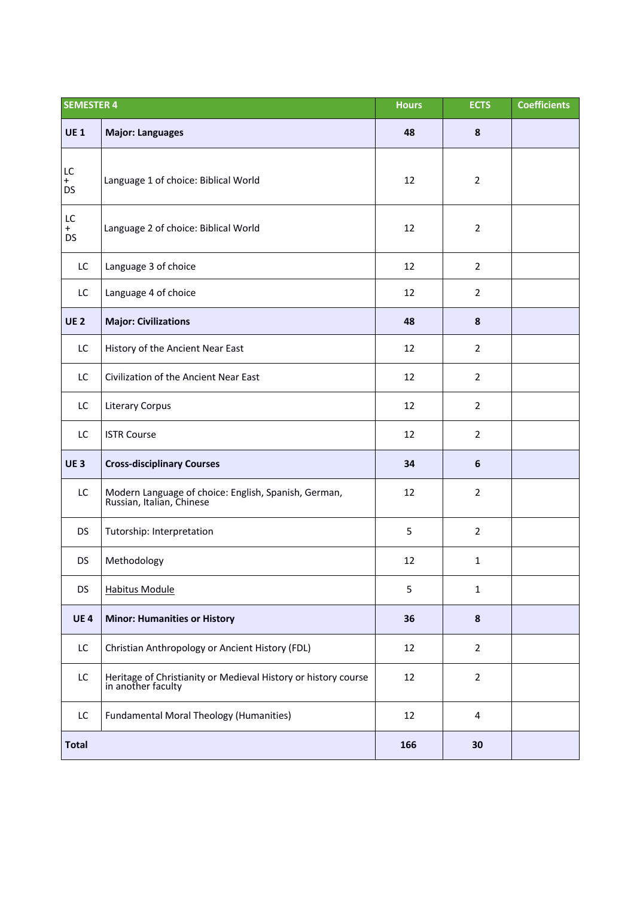| <b>SEMESTER 4</b>      |                                                                                      | <b>Hours</b> | <b>ECTS</b>      | <b>Coefficients</b> |
|------------------------|--------------------------------------------------------------------------------------|--------------|------------------|---------------------|
| <b>UE1</b>             | <b>Major: Languages</b>                                                              | 48           | 8                |                     |
| LC<br>$+$<br><b>DS</b> | Language 1 of choice: Biblical World                                                 | 12           | $\overline{2}$   |                     |
| LC<br>$+$<br><b>DS</b> | Language 2 of choice: Biblical World                                                 | 12           | $\overline{2}$   |                     |
| LC                     | Language 3 of choice                                                                 | 12           | $\overline{2}$   |                     |
| LC                     | Language 4 of choice                                                                 | 12           | $\overline{2}$   |                     |
| <b>UE 2</b>            | <b>Major: Civilizations</b>                                                          | 48           | $\pmb{8}$        |                     |
| LC                     | History of the Ancient Near East                                                     | 12           | $\overline{2}$   |                     |
| LC                     | Civilization of the Ancient Near East                                                | 12           | $\overline{2}$   |                     |
| LC                     | Literary Corpus                                                                      | 12           | $\overline{2}$   |                     |
| LC                     | <b>ISTR Course</b>                                                                   | 12           | $\overline{2}$   |                     |
| <b>UE3</b>             | <b>Cross-disciplinary Courses</b>                                                    | 34           | $\boldsymbol{6}$ |                     |
| LC                     | Modern Language of choice: English, Spanish, German,<br>Russian, Italian, Chinese    | 12           | $\overline{2}$   |                     |
| <b>DS</b>              | Tutorship: Interpretation                                                            | 5            | $\overline{2}$   |                     |
| <b>DS</b>              | Methodology                                                                          | 12           | $\mathbf{1}$     |                     |
| <b>DS</b>              | <b>Habitus Module</b>                                                                | 5            | 1                |                     |
| <b>UE4</b>             | <b>Minor: Humanities or History</b>                                                  | 36           | 8                |                     |
| LC                     | Christian Anthropology or Ancient History (FDL)                                      | 12           | $\overline{2}$   |                     |
| LC                     | Heritage of Christianity or Medieval History or history course<br>in another faculty | 12           | $\overline{2}$   |                     |
| LC                     | <b>Fundamental Moral Theology (Humanities)</b>                                       | 12           | 4                |                     |
| <b>Total</b>           |                                                                                      | 166          | 30               |                     |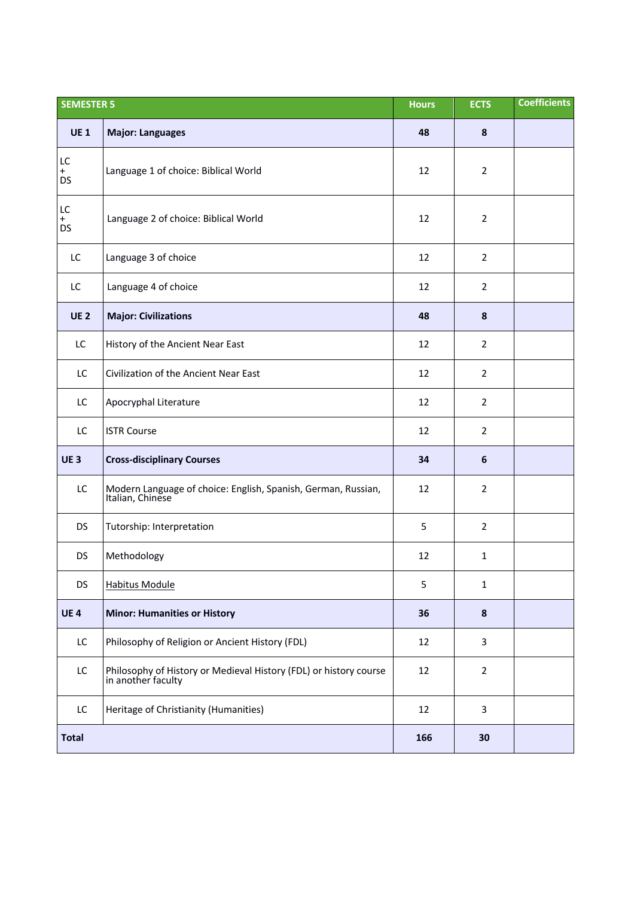| <b>SEMESTER 5</b>      |                                                                                         | <b>Hours</b> | <b>ECTS</b>    | <b>Coefficients</b> |
|------------------------|-----------------------------------------------------------------------------------------|--------------|----------------|---------------------|
| <b>UE1</b>             | <b>Major: Languages</b>                                                                 | 48           | 8              |                     |
| LC<br>$+$<br><b>DS</b> | Language 1 of choice: Biblical World                                                    | 12           | $\overline{2}$ |                     |
| LC<br>$+$<br><b>DS</b> | Language 2 of choice: Biblical World                                                    | 12           | $\overline{2}$ |                     |
| LC                     | Language 3 of choice                                                                    | 12           | $\overline{2}$ |                     |
| LC                     | Language 4 of choice                                                                    | 12           | $\overline{2}$ |                     |
| <b>UE2</b>             | <b>Major: Civilizations</b>                                                             | 48           | 8              |                     |
| LC                     | History of the Ancient Near East                                                        | 12           | $\overline{2}$ |                     |
| LC                     | Civilization of the Ancient Near East                                                   | 12           | $\overline{2}$ |                     |
| LC                     | Apocryphal Literature                                                                   | 12           | $\overline{2}$ |                     |
| LC                     | <b>ISTR Course</b>                                                                      | 12           | $\overline{2}$ |                     |
| <b>UE3</b>             | <b>Cross-disciplinary Courses</b>                                                       | 34           | 6              |                     |
| LC                     | Modern Language of choice: English, Spanish, German, Russian,<br>Italian, Chinese       | 12           | $\overline{2}$ |                     |
| <b>DS</b>              | Tutorship: Interpretation                                                               | 5            | $\overline{2}$ |                     |
| <b>DS</b>              | Methodology                                                                             | 12           | $\mathbf{1}$   |                     |
| <b>DS</b>              | <b>Habitus Module</b>                                                                   | 5            | $\mathbf{1}$   |                     |
| <b>UE4</b>             | <b>Minor: Humanities or History</b>                                                     | 36           | 8              |                     |
| LC                     | Philosophy of Religion or Ancient History (FDL)                                         | 12           | 3              |                     |
| LC                     | Philosophy of History or Medieval History (FDL) or history course<br>in another faculty | 12           | $\overline{2}$ |                     |
| LC                     | Heritage of Christianity (Humanities)                                                   | 12           | 3              |                     |
| <b>Total</b>           |                                                                                         | 166          | 30             |                     |